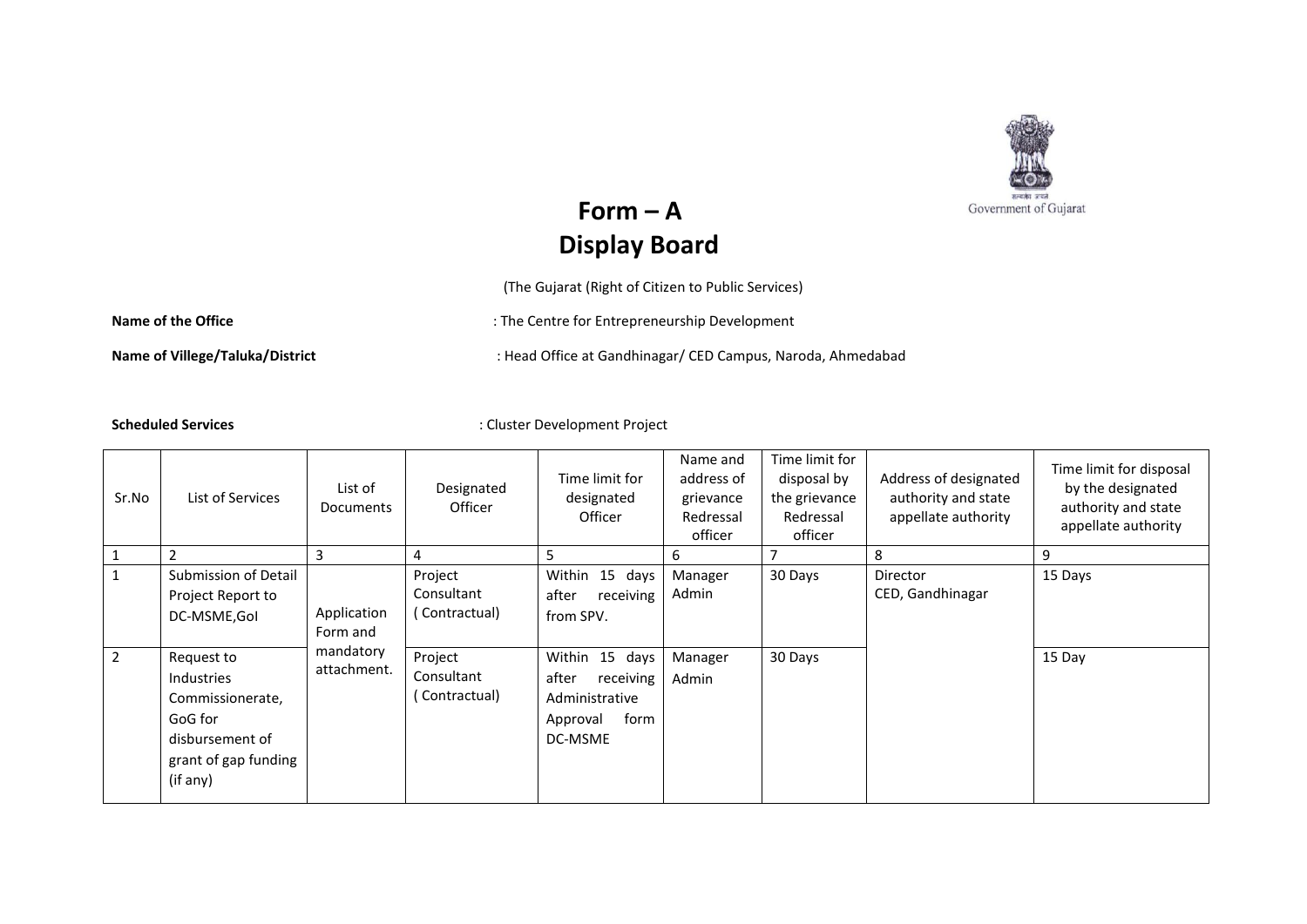

## $Form - A$ **Display Board**

(The Gujarat (Right of Citizen to Public Services)

Name of the Office **State of the Office** in the Centre for Entrepreneurship Development

Name of Villege/Taluka/District **interpretatal in the Candistan CED** Campus, Naroda, Ahmedabad

**Scheduled Services** : Cluster Development Project

| Sr.No          | List of Services                                                                                               | List of<br>Documents     | Designated<br>Officer                   | Time limit for<br>designated<br>Officer                                               | Name and<br>address of<br>grievance<br>Redressal<br>officer | Time limit for<br>disposal by<br>the grievance<br>Redressal<br>officer | Address of designated<br>authority and state<br>appellate authority | Time limit for disposal<br>by the designated<br>authority and state<br>appellate authority |
|----------------|----------------------------------------------------------------------------------------------------------------|--------------------------|-----------------------------------------|---------------------------------------------------------------------------------------|-------------------------------------------------------------|------------------------------------------------------------------------|---------------------------------------------------------------------|--------------------------------------------------------------------------------------------|
|                |                                                                                                                | 3                        | 4                                       | 5                                                                                     | 6                                                           |                                                                        | 8                                                                   | 9                                                                                          |
|                | Submission of Detail<br>Project Report to<br>DC-MSME, Gol                                                      | Application<br>Form and  | Project<br>Consultant<br>( Contractual) | Within<br>15 days<br>after<br>receiving<br>from SPV.                                  | Manager<br>Admin                                            | 30 Days                                                                | Director<br>CED, Gandhinagar                                        | 15 Days                                                                                    |
| $\overline{2}$ | Request to<br>Industries<br>Commissionerate,<br>GoG for<br>disbursement of<br>grant of gap funding<br>(if any) | mandatory<br>attachment. | Project<br>Consultant<br>(Contractual)  | Within 15 days<br>after<br>receiving<br>Administrative<br>form<br>Approval<br>DC-MSME | Manager<br>Admin                                            | 30 Days                                                                |                                                                     | 15 Day                                                                                     |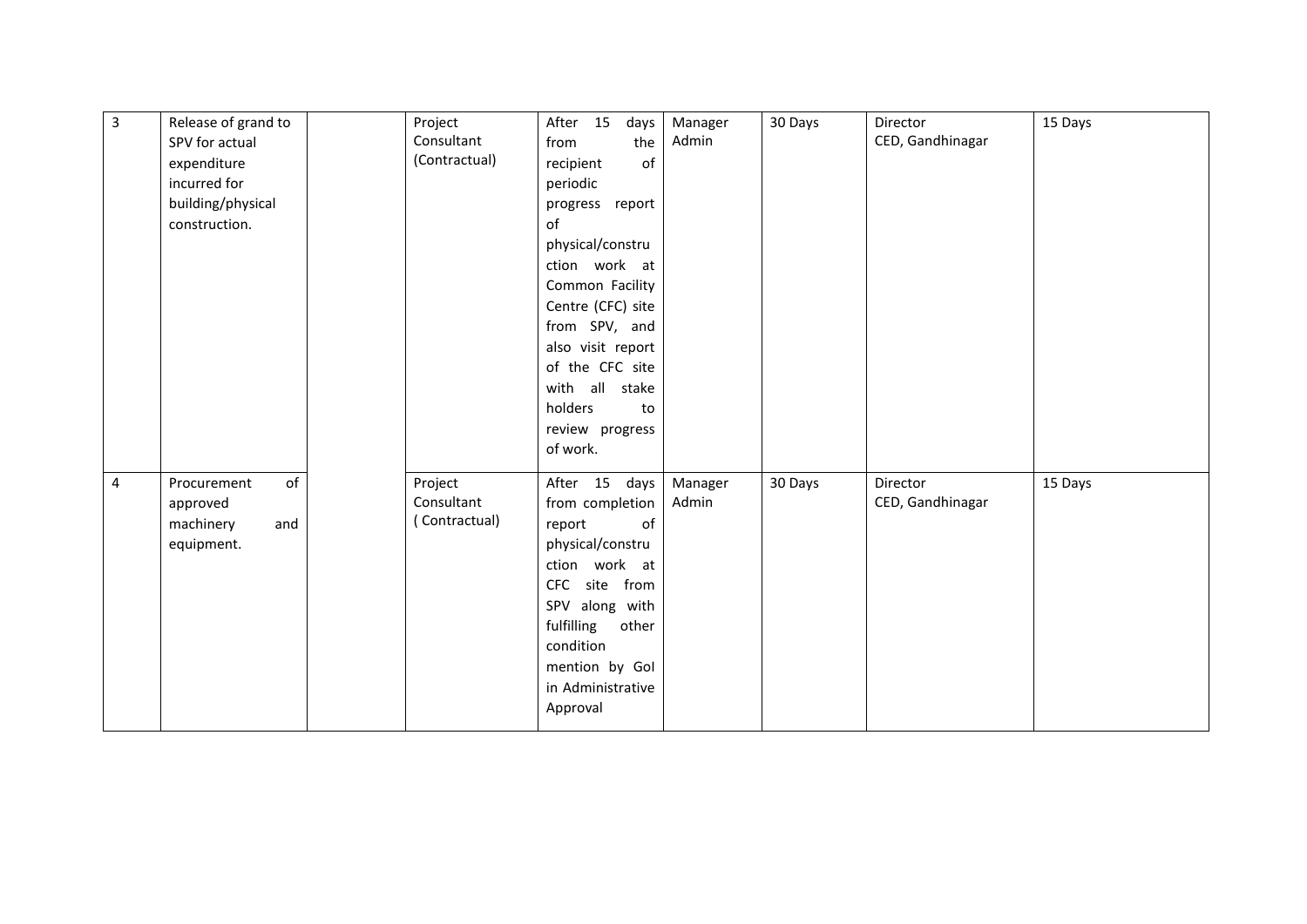| $\overline{3}$ | Release of grand to<br>SPV for actual<br>expenditure<br>incurred for<br>building/physical<br>construction. | Project<br>Consultant<br>(Contractual) | After 15<br>days<br>the<br>from<br>of<br>recipient<br>periodic<br>progress report<br>of<br>physical/constru                                                                                                     | Manager<br>Admin | 30 Days | Director<br>CED, Gandhinagar | 15 Days |
|----------------|------------------------------------------------------------------------------------------------------------|----------------------------------------|-----------------------------------------------------------------------------------------------------------------------------------------------------------------------------------------------------------------|------------------|---------|------------------------------|---------|
|                |                                                                                                            |                                        | ction work at<br>Common Facility<br>Centre (CFC) site<br>from SPV, and<br>also visit report<br>of the CFC site<br>with all stake<br>holders<br>to<br>review progress<br>of work.                                |                  |         |                              |         |
| $\overline{4}$ | of<br>Procurement<br>approved<br>machinery<br>and<br>equipment.                                            | Project<br>Consultant<br>(Contractual) | After 15 days<br>from completion<br>of<br>report<br>physical/constru<br>ction work at<br>CFC site from<br>SPV along with<br>fulfilling<br>other<br>condition<br>mention by Gol<br>in Administrative<br>Approval | Manager<br>Admin | 30 Days | Director<br>CED, Gandhinagar | 15 Days |